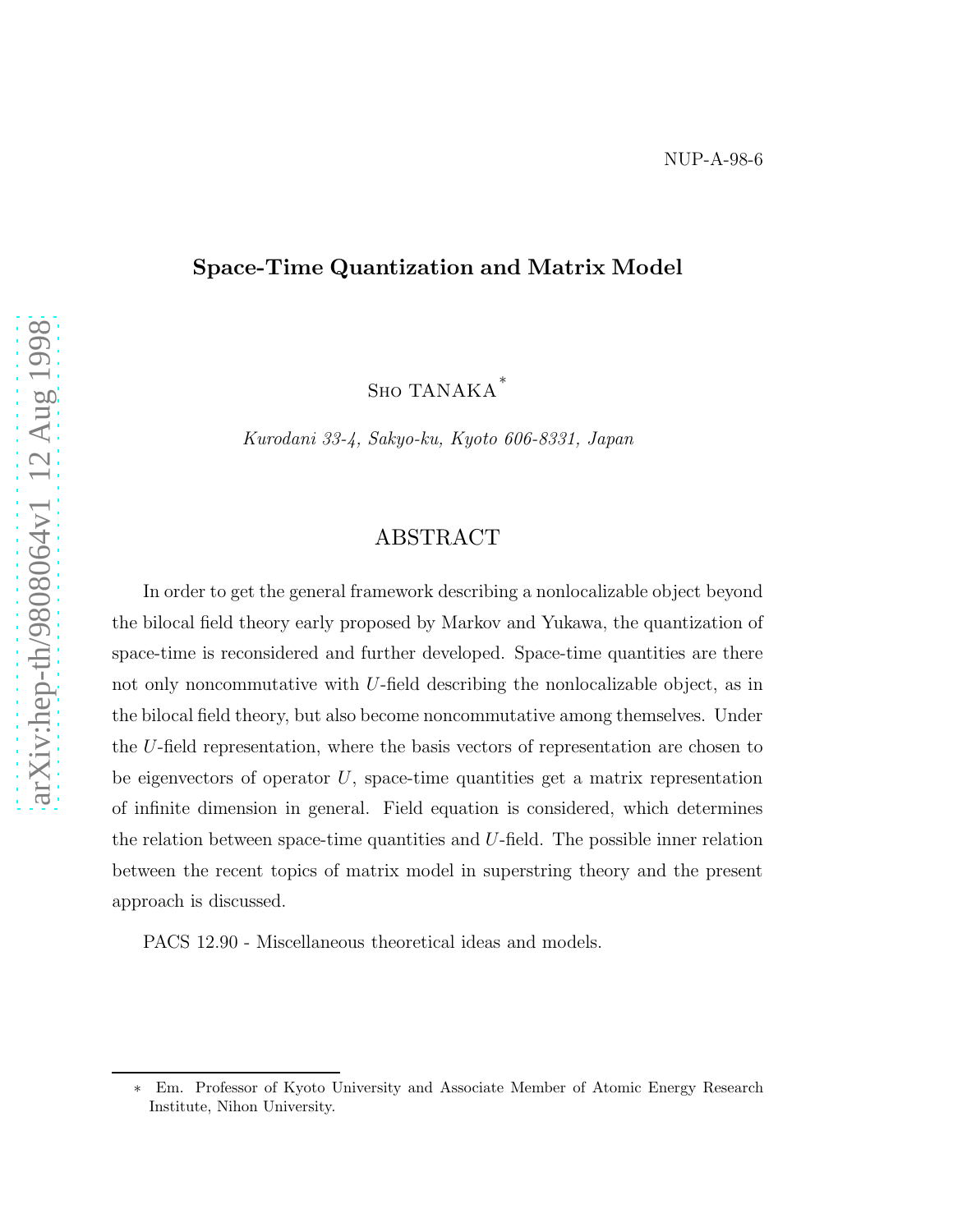## Space-Time Quantization and Matrix Model

Sho TANAKA<sup>∗</sup>

Kurodani 33-4, Sakyo-ku, Kyoto 606-8331, Japan

# ABSTRACT

In order to get the general framework describing a nonlocalizable object beyond the bilocal field theory early proposed by Markov and Yukawa, the quantization of space-time is reconsidered and further developed. Space-time quantities are there not only noncommutative with U-field describing the nonlocalizable object, as in the bilocal field theory, but also become noncommutative among themselves. Under the U-field representation, where the basis vectors of representation are chosen to be eigenvectors of operator  $U$ , space-time quantities get a matrix representation of infinite dimension in general. Field equation is considered, which determines the relation between space-time quantities and U-field. The possible inner relation between the recent topics of matrix model in superstring theory and the present approach is discussed.

PACS 12.90 - Miscellaneous theoretical ideas and models.

<sup>∗</sup> Em. Professor of Kyoto University and Associate Member of Atomic Energy Research Institute, Nihon University.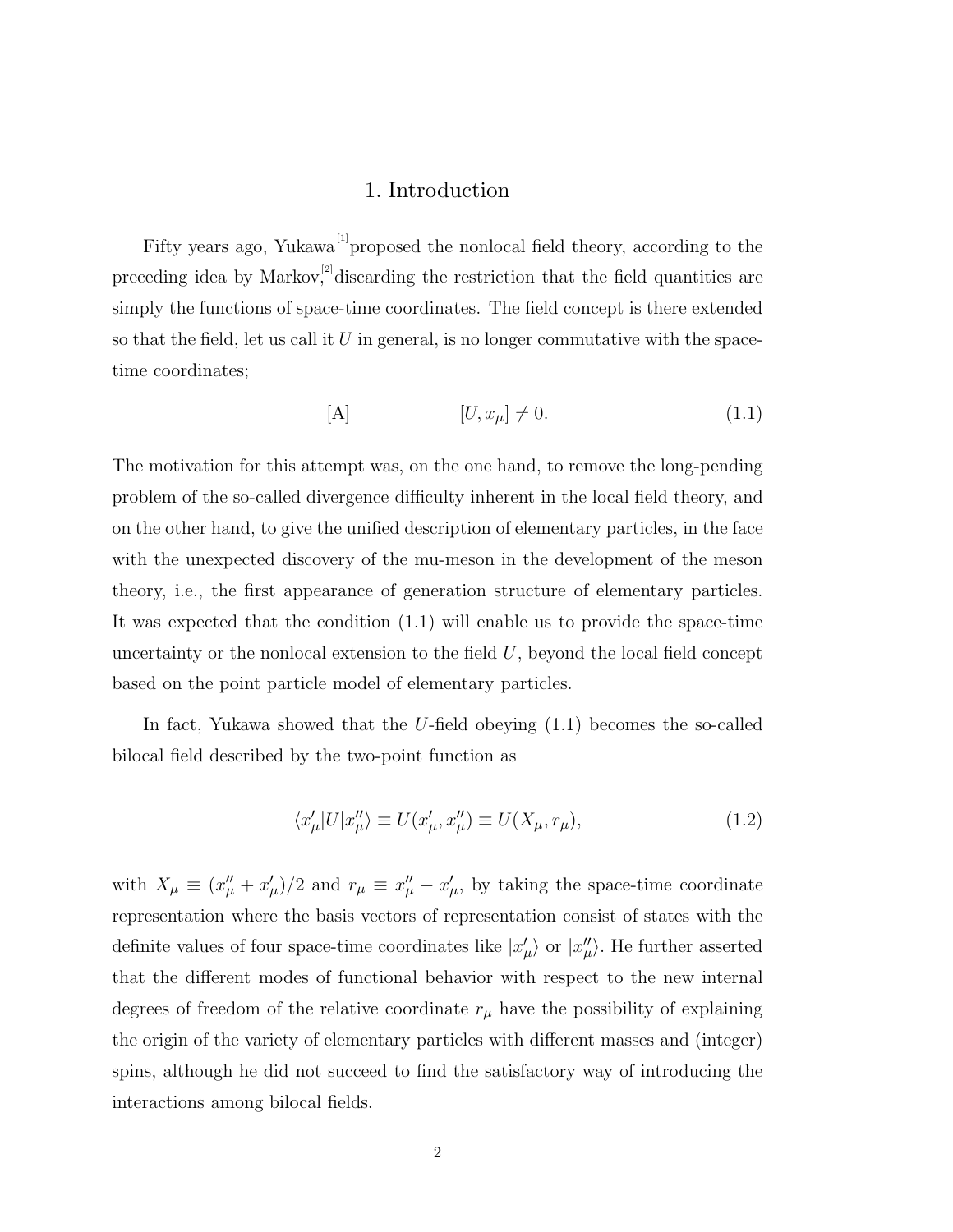## 1. Introduction

Fifty years ago, Yukawa<sup>[1]</sup> proposed the nonlocal field theory, according to the preceding idea by Markov, $^{[2]}$ discarding the restriction that the field quantities are simply the functions of space-time coordinates. The field concept is there extended so that the field, let us call it  $U$  in general, is no longer commutative with the spacetime coordinates;

$$
[A] \qquad [U, x_{\mu}] \neq 0. \tag{1.1}
$$

The motivation for this attempt was, on the one hand, to remove the long-pending problem of the so-called divergence difficulty inherent in the local field theory, and on the other hand, to give the unified description of elementary particles, in the face with the unexpected discovery of the mu-meson in the development of the meson theory, i.e., the first appearance of generation structure of elementary particles. It was expected that the condition (1.1) will enable us to provide the space-time uncertainty or the nonlocal extension to the field  $U$ , beyond the local field concept based on the point particle model of elementary particles.

In fact, Yukawa showed that the U-field obeying (1.1) becomes the so-called bilocal field described by the two-point function as

$$
\langle x'_{\mu}|U|x''_{\mu}\rangle \equiv U(x'_{\mu}, x''_{\mu}) \equiv U(X_{\mu}, r_{\mu}), \qquad (1.2)
$$

with  $X_{\mu} \equiv (x''_{\mu} + x'_{\mu})/2$  and  $r_{\mu} \equiv x''_{\mu} - x'_{\mu}$ , by taking the space-time coordinate representation where the basis vectors of representation consist of states with the definite values of four space-time coordinates like  $|x'_{\mu}\rangle$  or  $|x''_{\mu}\rangle$ . He further asserted that the different modes of functional behavior with respect to the new internal degrees of freedom of the relative coordinate  $r_{\mu}$  have the possibility of explaining the origin of the variety of elementary particles with different masses and (integer) spins, although he did not succeed to find the satisfactory way of introducing the interactions among bilocal fields.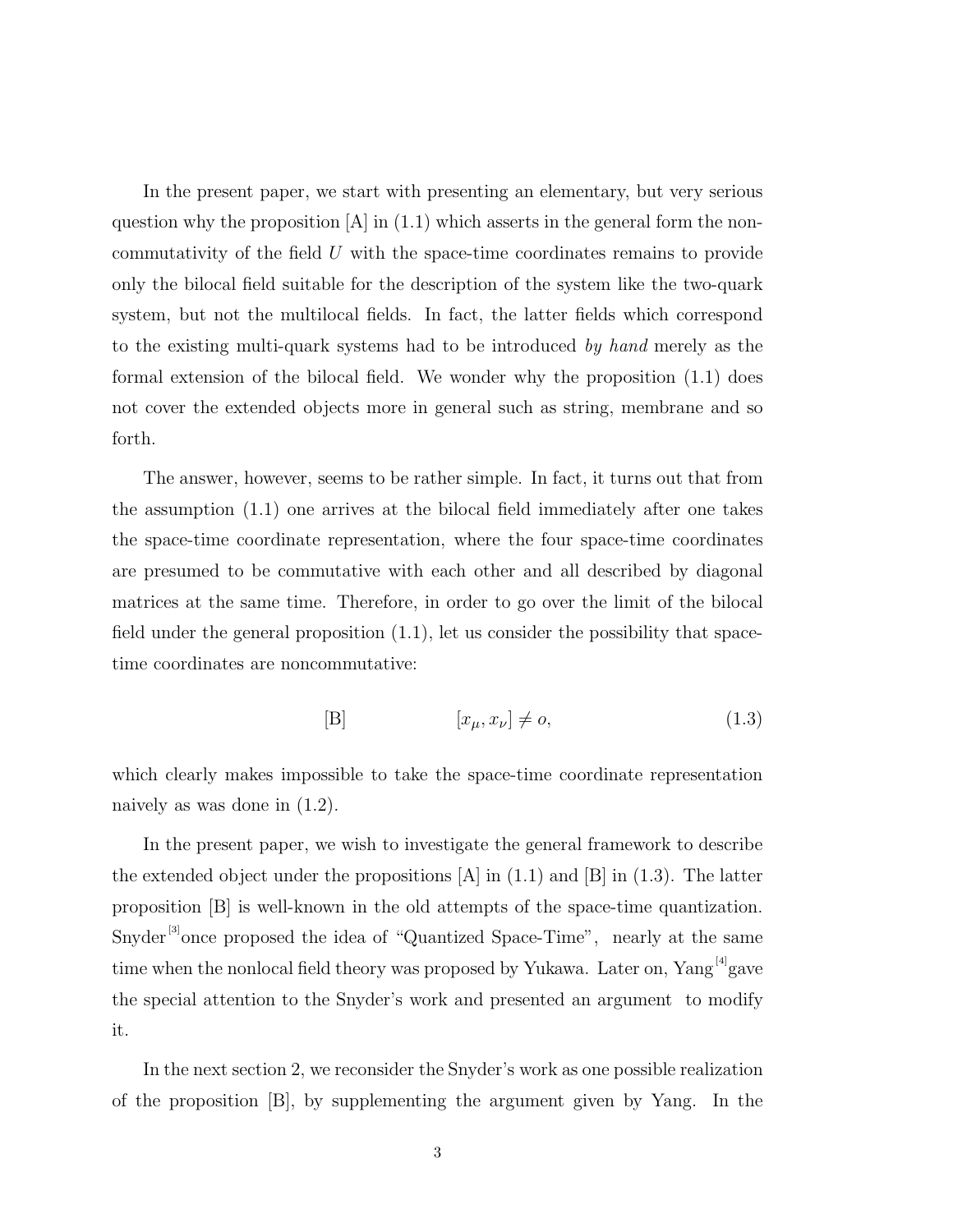In the present paper, we start with presenting an elementary, but very serious question why the proposition  $[A]$  in (1.1) which asserts in the general form the noncommutativity of the field U with the space-time coordinates remains to provide only the bilocal field suitable for the description of the system like the two-quark system, but not the multilocal fields. In fact, the latter fields which correspond to the existing multi-quark systems had to be introduced by hand merely as the formal extension of the bilocal field. We wonder why the proposition (1.1) does not cover the extended objects more in general such as string, membrane and so forth.

The answer, however, seems to be rather simple. In fact, it turns out that from the assumption (1.1) one arrives at the bilocal field immediately after one takes the space-time coordinate representation, where the four space-time coordinates are presumed to be commutative with each other and all described by diagonal matrices at the same time. Therefore, in order to go over the limit of the bilocal field under the general proposition (1.1), let us consider the possibility that spacetime coordinates are noncommutative:

$$
[B] \qquad [x_{\mu}, x_{\nu}] \neq o,\tag{1.3}
$$

which clearly makes impossible to take the space-time coordinate representation naively as was done in (1.2).

In the present paper, we wish to investigate the general framework to describe the extended object under the propositions  $[A]$  in  $(1.1)$  and  $[B]$  in  $(1.3)$ . The latter proposition [B] is well-known in the old attempts of the space-time quantization. Snyder<sup>[3]</sup> once proposed the idea of "Quantized Space-Time", nearly at the same time when the nonlocal field theory was proposed by Yukawa. Later on,  $Yang^{[4]}g$ ave the special attention to the Snyder's work and presented an argument to modify it.

In the next section 2, we reconsider the Snyder's work as one possible realization of the proposition [B], by supplementing the argument given by Yang. In the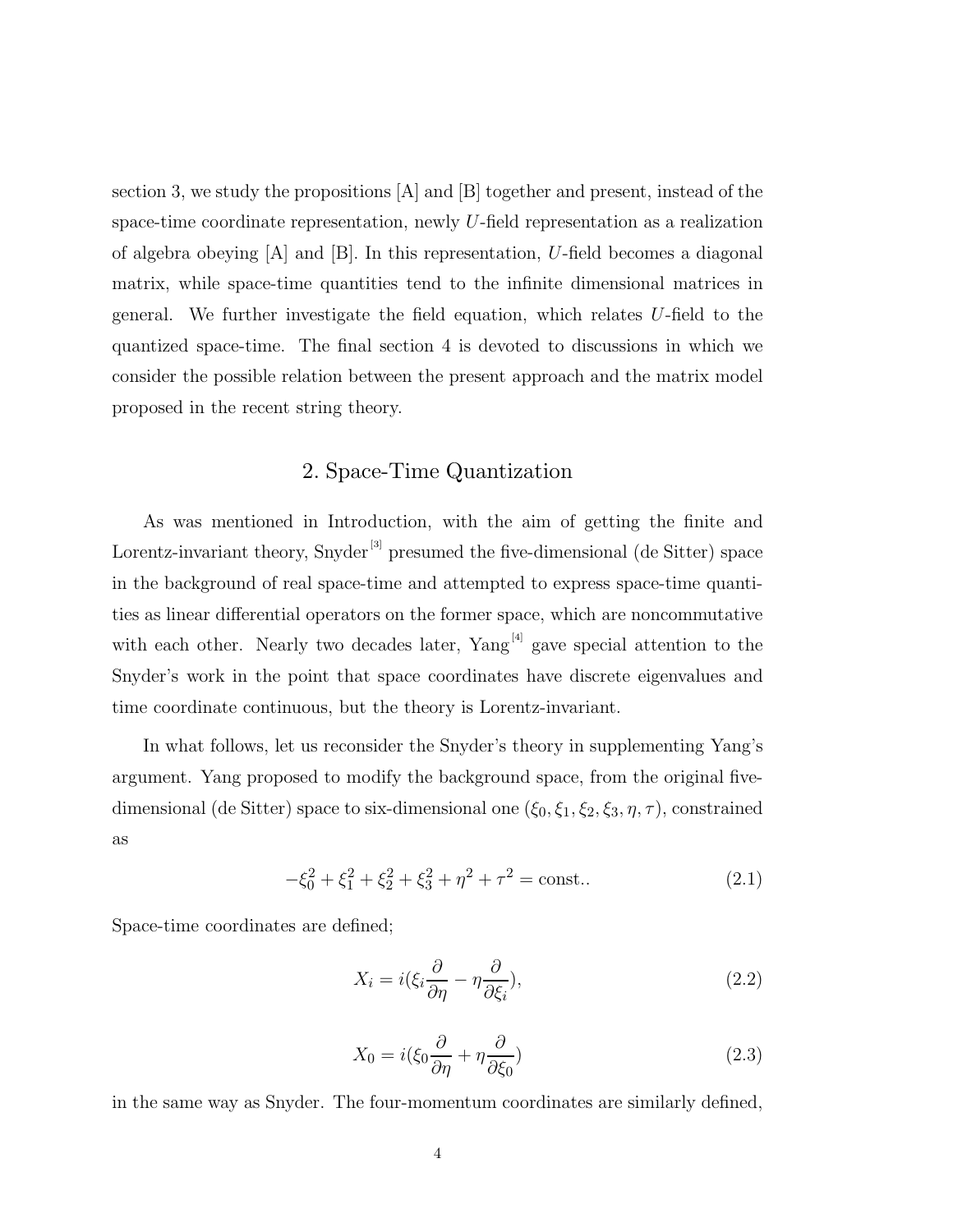section 3, we study the propositions  $|A|$  and  $|B|$  together and present, instead of the space-time coordinate representation, newly U-field representation as a realization of algebra obeying  $[A]$  and  $[B]$ . In this representation, U-field becomes a diagonal matrix, while space-time quantities tend to the infinite dimensional matrices in general. We further investigate the field equation, which relates U-field to the quantized space-time. The final section 4 is devoted to discussions in which we consider the possible relation between the present approach and the matrix model proposed in the recent string theory.

## 2. Space-Time Quantization

As was mentioned in Introduction, with the aim of getting the finite and Lorentz-invariant theory, Snyder<sup>[3]</sup> presumed the five-dimensional (de Sitter) space in the background of real space-time and attempted to express space-time quantities as linear differential operators on the former space, which are noncommutative with each other. Nearly two decades later,  $Yang^{[4]}$  gave special attention to the Snyder's work in the point that space coordinates have discrete eigenvalues and time coordinate continuous, but the theory is Lorentz-invariant.

In what follows, let us reconsider the Snyder's theory in supplementing Yang's argument. Yang proposed to modify the background space, from the original fivedimensional (de Sitter) space to six-dimensional one  $(\xi_0, \xi_1, \xi_2, \xi_3, \eta, \tau)$ , constrained as

$$
-\xi_0^2 + \xi_1^2 + \xi_2^2 + \xi_3^2 + \eta^2 + \tau^2 = \text{const.} \tag{2.1}
$$

Space-time coordinates are defined;

$$
X_i = i(\xi_i \frac{\partial}{\partial \eta} - \eta \frac{\partial}{\partial \xi_i}),\tag{2.2}
$$

$$
X_0 = i(\xi_0 \frac{\partial}{\partial \eta} + \eta \frac{\partial}{\partial \xi_0})
$$
\n(2.3)

in the same way as Snyder. The four-momentum coordinates are similarly defined,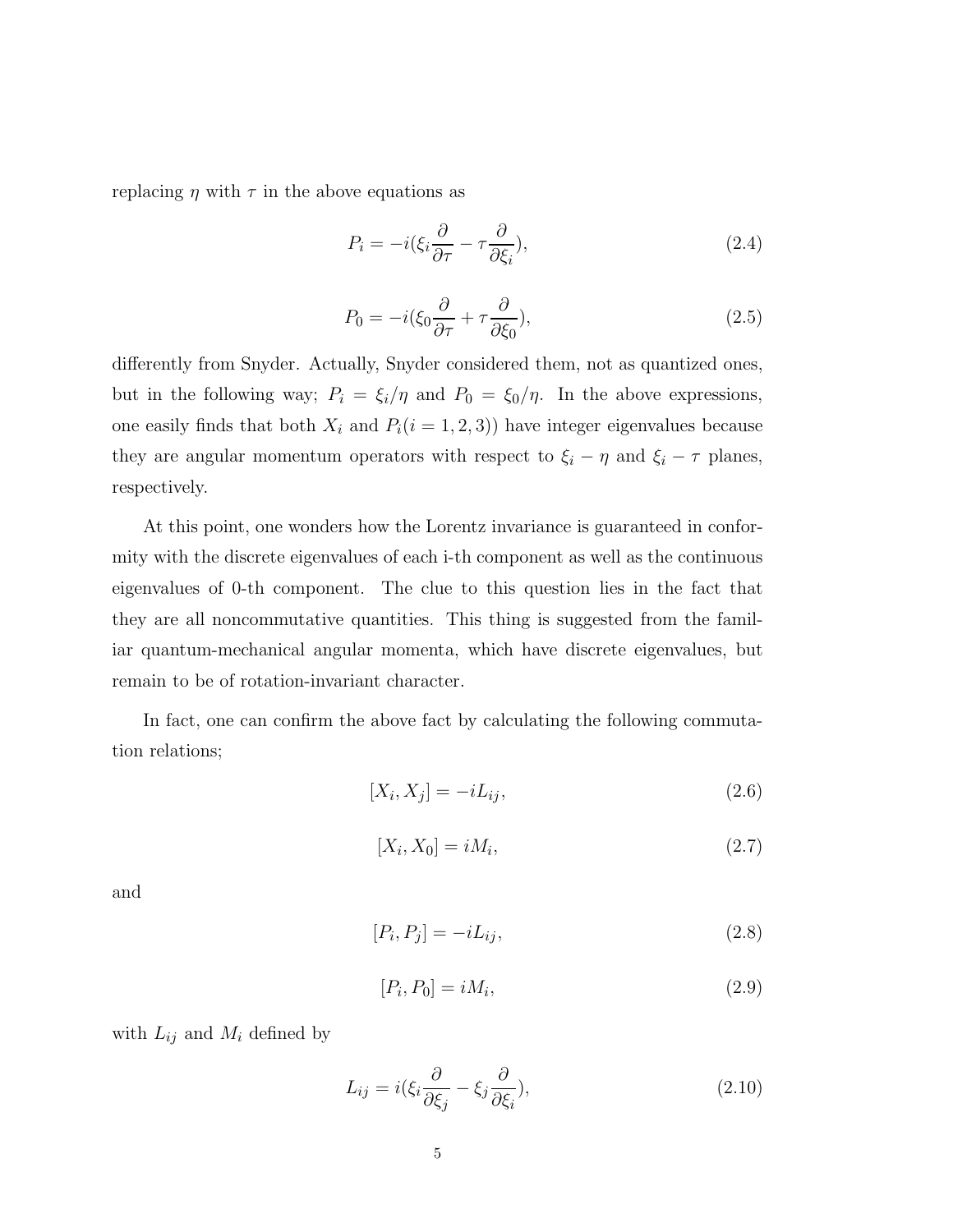replacing  $\eta$  with  $\tau$  in the above equations as

$$
P_i = -i(\xi_i \frac{\partial}{\partial \tau} - \tau \frac{\partial}{\partial \xi_i}),\tag{2.4}
$$

$$
P_0 = -i(\xi_0 \frac{\partial}{\partial \tau} + \tau \frac{\partial}{\partial \xi_0}),\tag{2.5}
$$

differently from Snyder. Actually, Snyder considered them, not as quantized ones, but in the following way;  $P_i = \xi_i/\eta$  and  $P_0 = \xi_0/\eta$ . In the above expressions, one easily finds that both  $X_i$  and  $P_i(i = 1, 2, 3)$ ) have integer eigenvalues because they are angular momentum operators with respect to  $\xi_i - \eta$  and  $\xi_i - \tau$  planes, respectively.

At this point, one wonders how the Lorentz invariance is guaranteed in conformity with the discrete eigenvalues of each i-th component as well as the continuous eigenvalues of 0-th component. The clue to this question lies in the fact that they are all noncommutative quantities. This thing is suggested from the familiar quantum-mechanical angular momenta, which have discrete eigenvalues, but remain to be of rotation-invariant character.

In fact, one can confirm the above fact by calculating the following commutation relations;

$$
[X_i, X_j] = -iL_{ij},\tag{2.6}
$$

$$
[X_i, X_0] = iM_i,\tag{2.7}
$$

and

$$
[P_i, P_j] = -iL_{ij},\tag{2.8}
$$

$$
[P_i, P_0] = iM_i,\tag{2.9}
$$

with  $L_{ij}$  and  $M_i$  defined by

$$
L_{ij} = i(\xi_i \frac{\partial}{\partial \xi_j} - \xi_j \frac{\partial}{\partial \xi_i}), \qquad (2.10)
$$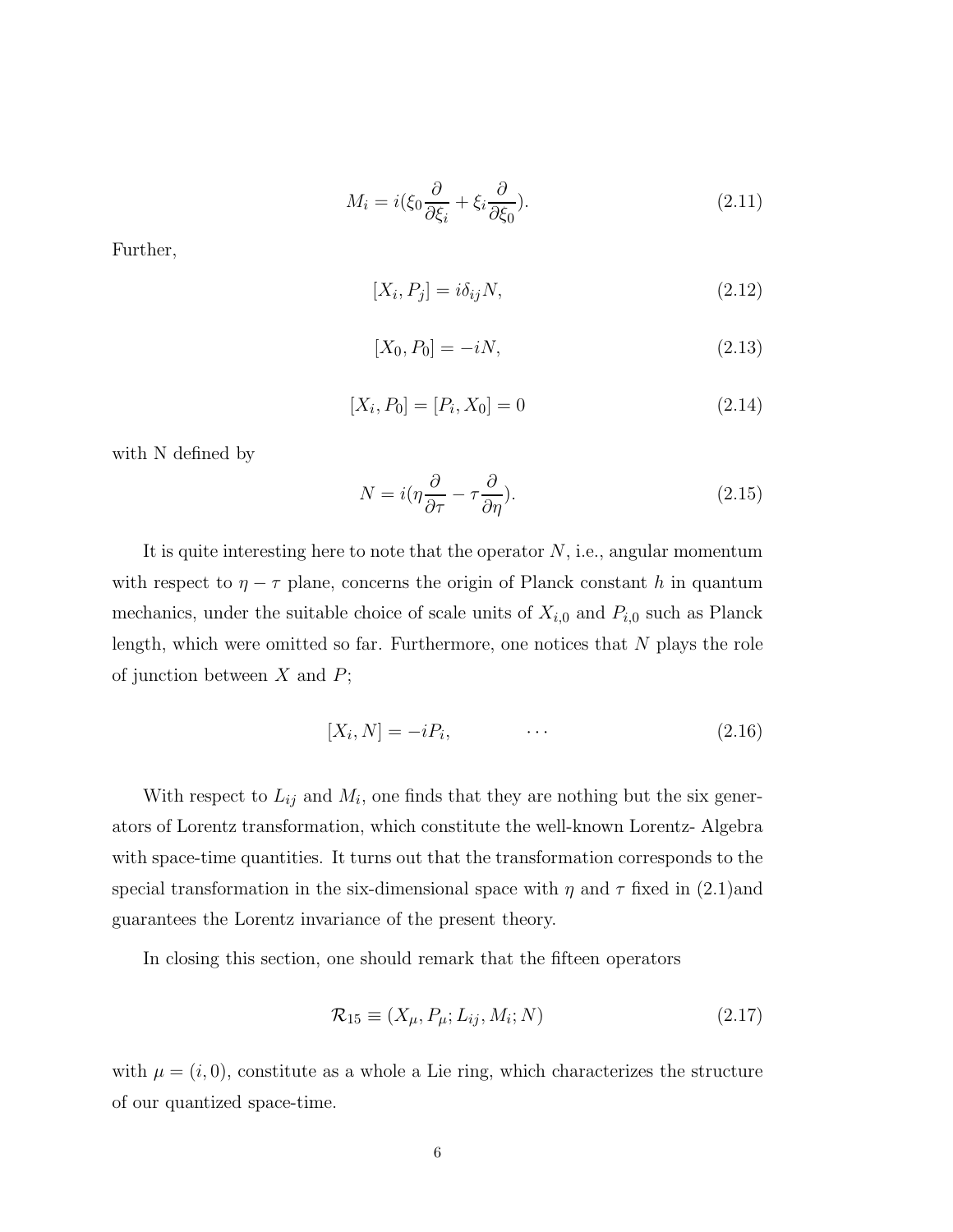$$
M_i = i(\xi_0 \frac{\partial}{\partial \xi_i} + \xi_i \frac{\partial}{\partial \xi_0}).
$$
\n(2.11)

Further,

$$
[X_i, P_j] = i\delta_{ij}N,\tag{2.12}
$$

$$
[X_0, P_0] = -iN, \tag{2.13}
$$

$$
[X_i, P_0] = [P_i, X_0] = 0 \tag{2.14}
$$

with N defined by

$$
N = i(\eta \frac{\partial}{\partial \tau} - \tau \frac{\partial}{\partial \eta}).
$$
\n(2.15)

It is quite interesting here to note that the operator  $N$ , i.e., angular momentum with respect to  $\eta - \tau$  plane, concerns the origin of Planck constant h in quantum mechanics, under the suitable choice of scale units of  $X_{i,0}$  and  $P_{i,0}$  such as Planck length, which were omitted so far. Furthermore, one notices that  $N$  plays the role of junction between  $X$  and  $P$ ;

$$
[X_i, N] = -iP_i, \qquad \cdots \qquad (2.16)
$$

With respect to  $L_{ij}$  and  $M_i$ , one finds that they are nothing but the six generators of Lorentz transformation, which constitute the well-known Lorentz- Algebra with space-time quantities. It turns out that the transformation corresponds to the special transformation in the six-dimensional space with  $\eta$  and  $\tau$  fixed in (2.1)and guarantees the Lorentz invariance of the present theory.

In closing this section, one should remark that the fifteen operators

$$
\mathcal{R}_{15} \equiv (X_{\mu}, P_{\mu}; L_{ij}, M_i; N) \tag{2.17}
$$

with  $\mu = (i, 0)$ , constitute as a whole a Lie ring, which characterizes the structure of our quantized space-time.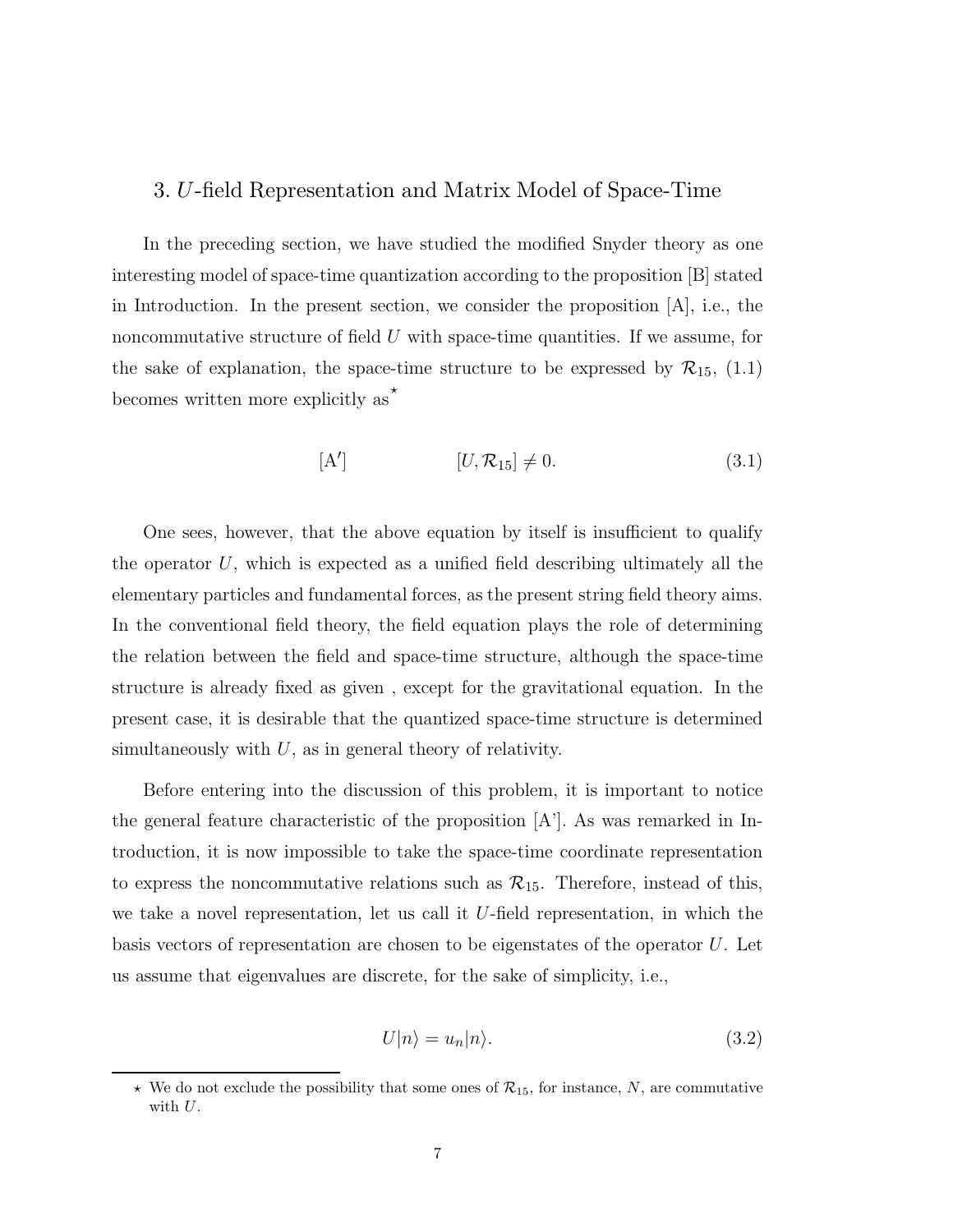## 3. U-field Representation and Matrix Model of Space-Time

In the preceding section, we have studied the modified Snyder theory as one interesting model of space-time quantization according to the proposition [B] stated in Introduction. In the present section, we consider the proposition [A], i.e., the noncommutative structure of field  $U$  with space-time quantities. If we assume, for the sake of explanation, the space-time structure to be expressed by  $\mathcal{R}_{15}$ , (1.1) becomes written more explicitly as  $\star$ 

$$
[\mathbf{A'}] \qquad [U, \mathcal{R}_{15}] \neq 0. \tag{3.1}
$$

One sees, however, that the above equation by itself is insufficient to qualify the operator  $U$ , which is expected as a unified field describing ultimately all the elementary particles and fundamental forces, as the present string field theory aims. In the conventional field theory, the field equation plays the role of determining the relation between the field and space-time structure, although the space-time structure is already fixed as given , except for the gravitational equation. In the present case, it is desirable that the quantized space-time structure is determined simultaneously with  $U$ , as in general theory of relativity.

Before entering into the discussion of this problem, it is important to notice the general feature characteristic of the proposition  $[A<sup>2</sup>]$ . As was remarked in Introduction, it is now impossible to take the space-time coordinate representation to express the noncommutative relations such as  $\mathcal{R}_{15}$ . Therefore, instead of this, we take a novel representation, let us call it U-field representation, in which the basis vectors of representation are chosen to be eigenstates of the operator U. Let us assume that eigenvalues are discrete, for the sake of simplicity, i.e.,

$$
U|n\rangle = u_n|n\rangle. \tag{3.2}
$$

 $\star$  We do not exclude the possibility that some ones of  $\mathcal{R}_{15}$ , for instance, N, are commutative with  $U$ .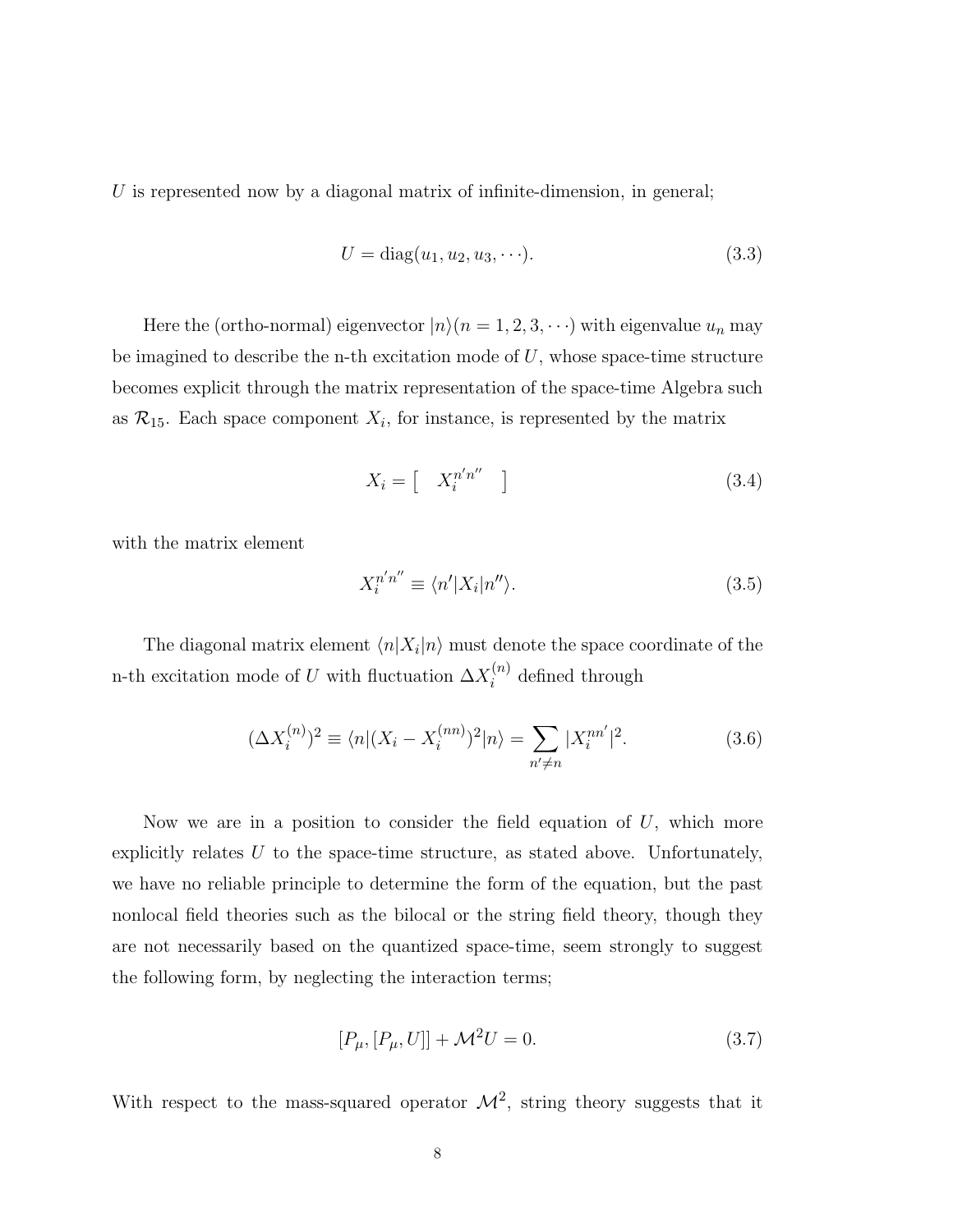U is represented now by a diagonal matrix of infinite-dimension, in general;

$$
U = \text{diag}(u_1, u_2, u_3, \cdots). \tag{3.3}
$$

Here the (ortho-normal) eigenvector  $|n\rangle(n = 1, 2, 3, \cdots)$  with eigenvalue  $u_n$  may be imagined to describe the n-th excitation mode of  $U$ , whose space-time structure becomes explicit through the matrix representation of the space-time Algebra such as  $\mathcal{R}_{15}$ . Each space component  $X_i$ , for instance, is represented by the matrix

$$
X_i = \begin{bmatrix} X_i^{n'n''} \end{bmatrix} \tag{3.4}
$$

with the matrix element

$$
X_i^{n'n''} \equiv \langle n'|X_i|n''\rangle. \tag{3.5}
$$

The diagonal matrix element  $\langle n|X_i|n\rangle$  must denote the space coordinate of the n-th excitation mode of U with fluctuation  $\Delta X_i^{(n)}$  $i^{(n)}$  defined through

$$
(\Delta X_i^{(n)})^2 \equiv \langle n | (X_i - X_i^{(nn)})^2 | n \rangle = \sum_{n' \neq n} |X_i^{nn'}|^2. \tag{3.6}
$$

Now we are in a position to consider the field equation of  $U$ , which more explicitly relates  $U$  to the space-time structure, as stated above. Unfortunately, we have no reliable principle to determine the form of the equation, but the past nonlocal field theories such as the bilocal or the string field theory, though they are not necessarily based on the quantized space-time, seem strongly to suggest the following form, by neglecting the interaction terms;

$$
[P_{\mu}, [P_{\mu}, U]] + \mathcal{M}^{2}U = 0.
$$
 (3.7)

With respect to the mass-squared operator  $\mathcal{M}^2$ , string theory suggests that it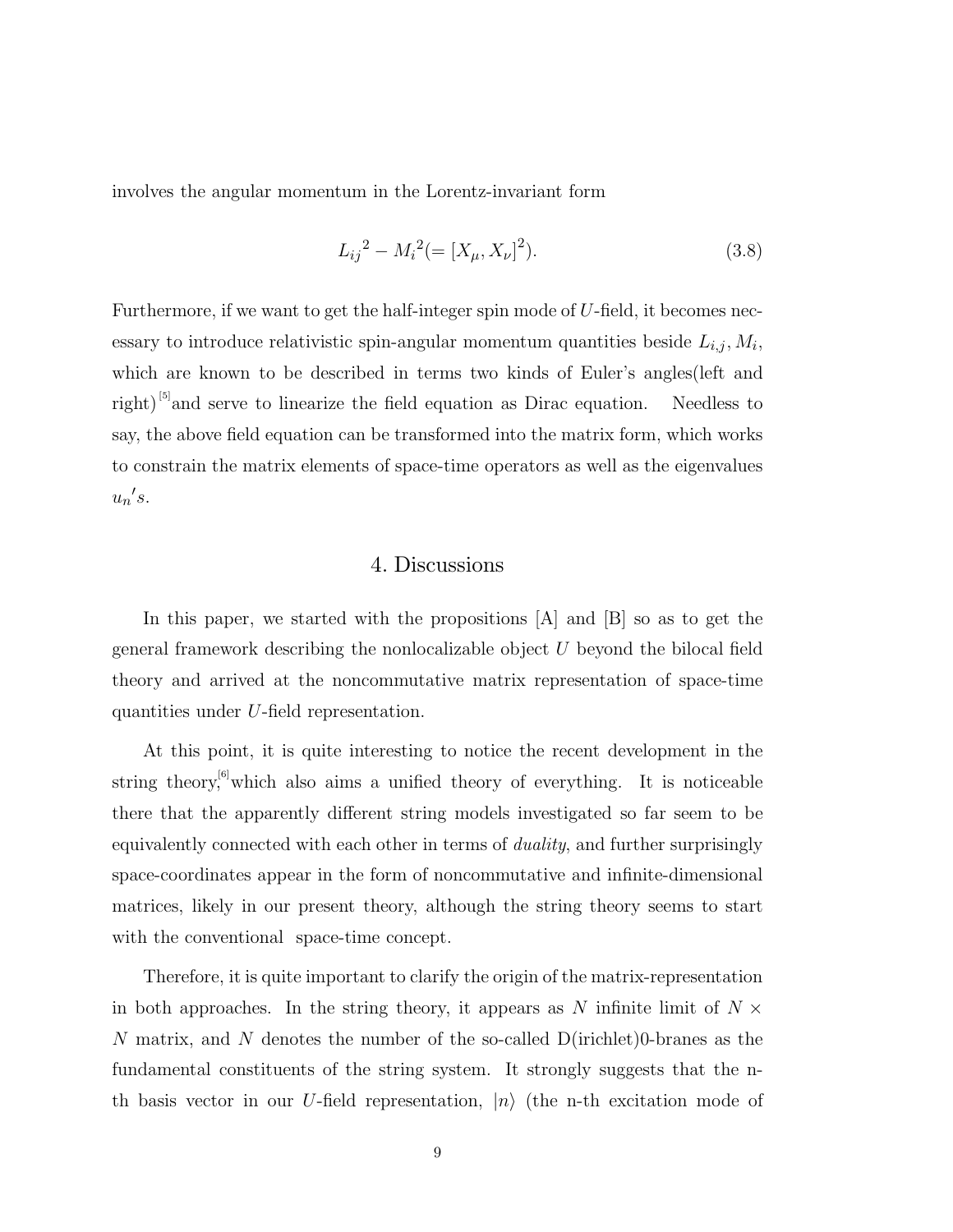involves the angular momentum in the Lorentz-invariant form

$$
L_{ij}^{2} - M_{i}^{2} (= [X_{\mu}, X_{\nu}]^{2}).
$$
\n(3.8)

Furthermore, if we want to get the half-integer spin mode of  $U$ -field, it becomes necessary to introduce relativistic spin-angular momentum quantities beside  $L_{i,j}, M_i$ , which are known to be described in terms two kinds of Euler's angles(left and right)<sup>[5]</sup>and serve to linearize the field equation as Dirac equation. Needless to say, the above field equation can be transformed into the matrix form, which works to constrain the matrix elements of space-time operators as well as the eigenvalues  $u_n's$ .

#### 4. Discussions

In this paper, we started with the propositions [A] and [B] so as to get the general framework describing the nonlocalizable object U beyond the bilocal field theory and arrived at the noncommutative matrix representation of space-time quantities under U-field representation.

At this point, it is quite interesting to notice the recent development in the string theory,<sup>[6]</sup>which also aims a unified theory of everything. It is noticeable there that the apparently different string models investigated so far seem to be equivalently connected with each other in terms of *duality*, and further surprisingly space-coordinates appear in the form of noncommutative and infinite-dimensional matrices, likely in our present theory, although the string theory seems to start with the conventional space-time concept.

Therefore, it is quite important to clarify the origin of the matrix-representation in both approaches. In the string theory, it appears as N infinite limit of  $N \times$ N matrix, and N denotes the number of the so-called  $D$ (irichlet)0-branes as the fundamental constituents of the string system. It strongly suggests that the nth basis vector in our U-field representation,  $|n\rangle$  (the n-th excitation mode of